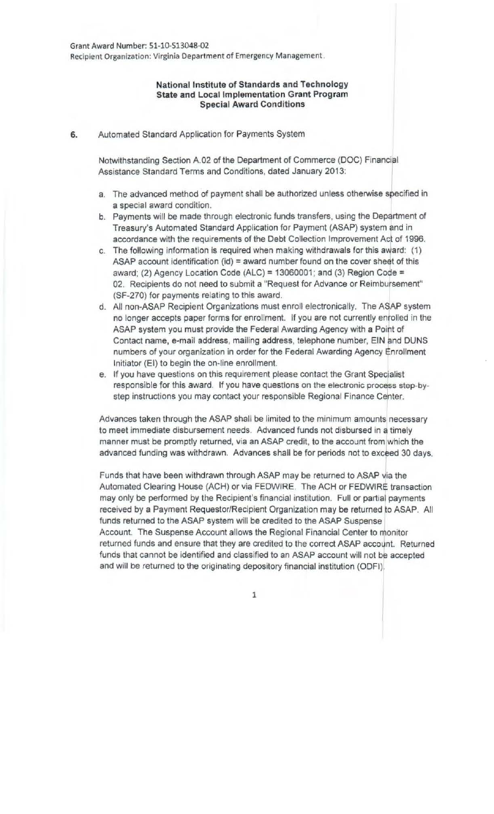## National Institute of Standards and Technology State and Local Implementation Grant Program Special Award Conditions

6. Automated Standard Application for Payments System

Notwithstanding Section A.02 of the Department of Commerce (DOC) Financijl Assistance Standard Terms and Conditions, dated January 2013:

- a. The advanced method of payment shall be authorized unless otherwise specified in a special award condition.
- b. Payments will be made through electronic funds transfers, using the Department of Treasury's Automated Standard Application for Payment (ASAP) system and in accordance with the requirements of the Debt Collection Improvement Act of 1996.
- c. The following information is required when making withdrawals for this award: (1) ASAP account identification  $(id)$  = award number found on the cover sheet of this award; (2) Agency Location Code (ALC) = 13060001; and (3) Region Code = 02. Recipients do not need to submit a "Request for Advance or Reimbursement" (SF-270) for payments relating to this award.
- d. All non-ASAP Recipient Organizations must enroll electronically. The ASAP system no longer accepts paper forms for enrollment. If you are not currently enrolled in the ASAP system you must provide the Federal Awarding Agency with a Poirt of Contact name, e-mail address, mailing address, telephone number, ElN and DUNS numbers of your organization in order for the Federal Awarding Agency Enrollment Initiator (EI) to begin the on-line enrollment.
- e. If you have questions on this requirement please contact the Grant Specialist responsible for this award. If you have questions on the electronic process step-bystep instructions you may contact your responsible Regional Finance Center.

Advances taken through the ASAP shall be limited to the minimum amounts necessary to meet immediate disbursement needs. Advanced funds not disbursed in a timely manner must be promptly returned, via an ASAP credit, to the account from which the advanced funding was withdrawn. Advances shall be for periods not to exceed 30 days.

Funds that have been withdrawn through ASAP may be returned to ASAP via the Automated Clearing House (ACH) or via FEDWIRE. The ACH or FEDWIRE transaction may only be performed by the Recipient's financial institution. Full or partial payments received by a Payment Requestor/Recipient Organization may be returned to ASAP. All funds returned to the ASAP system will be credited to the ASAP Suspense Account. The Suspense Account allows the Regional Financial Center to monitor returned funds and ensure that they are credited to the correct ASAP account. Returned funds that cannot be identified and classified to an ASAP account will not be accepted and will be returned to the originating depository financial institution (ODFI).

1